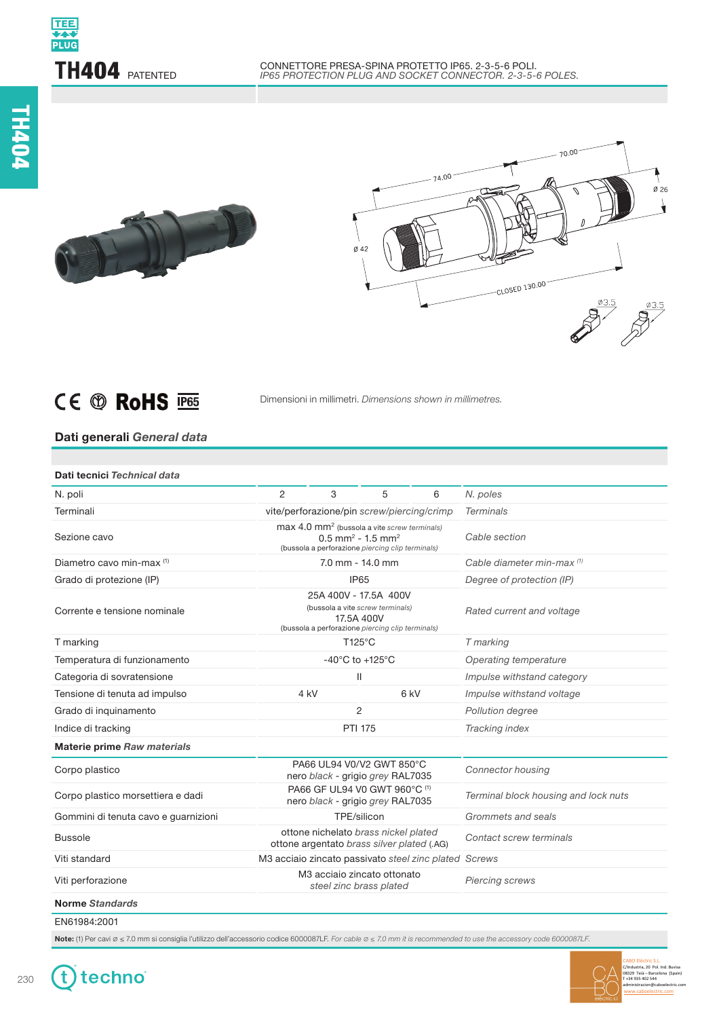



## CE ® RoHS PBS

Dimensioni in millimetri. *Dimensions shown in millimetres.*

## **Dati generali** *General data*

| 2<br>3<br>N. poles<br>5<br>6<br>vite/perforazione/pin screw/piercing/crimp<br><b>Terminals</b><br>max 4.0 mm <sup>2</sup> (bussola a vite screw terminals)<br>Cable section<br>Sezione cavo<br>$0.5$ mm <sup>2</sup> - 1.5 mm <sup>2</sup><br>(bussola a perforazione piercing clip terminals)<br>$7.0$ mm - $14.0$ mm<br>Diametro cavo min-max (1)<br>Cable diameter min-max (1)<br>IP65<br>Degree of protection (IP)<br>25A 400V - 17.5A 400V<br>(bussola a vite screw terminals)<br>Rated current and voltage<br>17.5A 400V<br>(bussola a perforazione piercing clip terminals)<br>T125°C<br>T marking<br>$-40^{\circ}$ C to $+125^{\circ}$ C<br>Temperatura di funzionamento<br>Operating temperature<br>Ш<br>Impulse withstand category<br>6 kV<br>4 kV<br>Tensione di tenuta ad impulso<br>Impulse withstand voltage<br>$\overline{c}$<br>Pollution degree<br><b>PTI 175</b><br>Tracking index<br>Indice di tracking<br>PA66 UL94 V0/V2 GWT 850°C<br><b>Connector housing</b><br>nero black - grigio grey RAL7035<br>PA66 GF UL94 V0 GWT 960°C (1)<br>Terminal block housing and lock nuts<br>nero black - grigio grey RAL7035<br>TPE/silicon<br>Grommets and seals<br>ottone nichelato brass nickel plated<br>Contact screw terminals<br><b>Bussole</b><br>ottone argentato brass silver plated (.AG)<br>M3 acciaio zincato passivato steel zinc plated Screws<br>M3 acciaio zincato ottonato<br><b>Piercing screws</b><br>steel zinc brass plated | Dati tecnici Technical data          |  |  |  |  |
|-----------------------------------------------------------------------------------------------------------------------------------------------------------------------------------------------------------------------------------------------------------------------------------------------------------------------------------------------------------------------------------------------------------------------------------------------------------------------------------------------------------------------------------------------------------------------------------------------------------------------------------------------------------------------------------------------------------------------------------------------------------------------------------------------------------------------------------------------------------------------------------------------------------------------------------------------------------------------------------------------------------------------------------------------------------------------------------------------------------------------------------------------------------------------------------------------------------------------------------------------------------------------------------------------------------------------------------------------------------------------------------------------------------------------------------------------------------|--------------------------------------|--|--|--|--|
|                                                                                                                                                                                                                                                                                                                                                                                                                                                                                                                                                                                                                                                                                                                                                                                                                                                                                                                                                                                                                                                                                                                                                                                                                                                                                                                                                                                                                                                           | N. poli                              |  |  |  |  |
|                                                                                                                                                                                                                                                                                                                                                                                                                                                                                                                                                                                                                                                                                                                                                                                                                                                                                                                                                                                                                                                                                                                                                                                                                                                                                                                                                                                                                                                           | Terminali                            |  |  |  |  |
|                                                                                                                                                                                                                                                                                                                                                                                                                                                                                                                                                                                                                                                                                                                                                                                                                                                                                                                                                                                                                                                                                                                                                                                                                                                                                                                                                                                                                                                           |                                      |  |  |  |  |
|                                                                                                                                                                                                                                                                                                                                                                                                                                                                                                                                                                                                                                                                                                                                                                                                                                                                                                                                                                                                                                                                                                                                                                                                                                                                                                                                                                                                                                                           |                                      |  |  |  |  |
|                                                                                                                                                                                                                                                                                                                                                                                                                                                                                                                                                                                                                                                                                                                                                                                                                                                                                                                                                                                                                                                                                                                                                                                                                                                                                                                                                                                                                                                           | Grado di protezione (IP)             |  |  |  |  |
|                                                                                                                                                                                                                                                                                                                                                                                                                                                                                                                                                                                                                                                                                                                                                                                                                                                                                                                                                                                                                                                                                                                                                                                                                                                                                                                                                                                                                                                           | Corrente e tensione nominale         |  |  |  |  |
|                                                                                                                                                                                                                                                                                                                                                                                                                                                                                                                                                                                                                                                                                                                                                                                                                                                                                                                                                                                                                                                                                                                                                                                                                                                                                                                                                                                                                                                           | T marking                            |  |  |  |  |
|                                                                                                                                                                                                                                                                                                                                                                                                                                                                                                                                                                                                                                                                                                                                                                                                                                                                                                                                                                                                                                                                                                                                                                                                                                                                                                                                                                                                                                                           |                                      |  |  |  |  |
|                                                                                                                                                                                                                                                                                                                                                                                                                                                                                                                                                                                                                                                                                                                                                                                                                                                                                                                                                                                                                                                                                                                                                                                                                                                                                                                                                                                                                                                           | Categoria di sovratensione           |  |  |  |  |
|                                                                                                                                                                                                                                                                                                                                                                                                                                                                                                                                                                                                                                                                                                                                                                                                                                                                                                                                                                                                                                                                                                                                                                                                                                                                                                                                                                                                                                                           |                                      |  |  |  |  |
|                                                                                                                                                                                                                                                                                                                                                                                                                                                                                                                                                                                                                                                                                                                                                                                                                                                                                                                                                                                                                                                                                                                                                                                                                                                                                                                                                                                                                                                           | Grado di inquinamento                |  |  |  |  |
|                                                                                                                                                                                                                                                                                                                                                                                                                                                                                                                                                                                                                                                                                                                                                                                                                                                                                                                                                                                                                                                                                                                                                                                                                                                                                                                                                                                                                                                           |                                      |  |  |  |  |
|                                                                                                                                                                                                                                                                                                                                                                                                                                                                                                                                                                                                                                                                                                                                                                                                                                                                                                                                                                                                                                                                                                                                                                                                                                                                                                                                                                                                                                                           | <b>Materie prime Raw materials</b>   |  |  |  |  |
|                                                                                                                                                                                                                                                                                                                                                                                                                                                                                                                                                                                                                                                                                                                                                                                                                                                                                                                                                                                                                                                                                                                                                                                                                                                                                                                                                                                                                                                           | Corpo plastico                       |  |  |  |  |
|                                                                                                                                                                                                                                                                                                                                                                                                                                                                                                                                                                                                                                                                                                                                                                                                                                                                                                                                                                                                                                                                                                                                                                                                                                                                                                                                                                                                                                                           | Corpo plastico morsettiera e dadi    |  |  |  |  |
|                                                                                                                                                                                                                                                                                                                                                                                                                                                                                                                                                                                                                                                                                                                                                                                                                                                                                                                                                                                                                                                                                                                                                                                                                                                                                                                                                                                                                                                           | Gommini di tenuta cavo e guarnizioni |  |  |  |  |
|                                                                                                                                                                                                                                                                                                                                                                                                                                                                                                                                                                                                                                                                                                                                                                                                                                                                                                                                                                                                                                                                                                                                                                                                                                                                                                                                                                                                                                                           |                                      |  |  |  |  |
|                                                                                                                                                                                                                                                                                                                                                                                                                                                                                                                                                                                                                                                                                                                                                                                                                                                                                                                                                                                                                                                                                                                                                                                                                                                                                                                                                                                                                                                           | Viti standard                        |  |  |  |  |
|                                                                                                                                                                                                                                                                                                                                                                                                                                                                                                                                                                                                                                                                                                                                                                                                                                                                                                                                                                                                                                                                                                                                                                                                                                                                                                                                                                                                                                                           | Viti perforazione                    |  |  |  |  |
|                                                                                                                                                                                                                                                                                                                                                                                                                                                                                                                                                                                                                                                                                                                                                                                                                                                                                                                                                                                                                                                                                                                                                                                                                                                                                                                                                                                                                                                           | <b>Norme Standards</b>               |  |  |  |  |

EN61984:2001

**Note:** (1) Per cavi ø ≤ 7.0 mm si consiglia l'utilizzo dell'accessorio codice 6000087LF. For cable ø ≤ 7.0 mm it is recommended to use the accessory code 6000087LF.



t) techno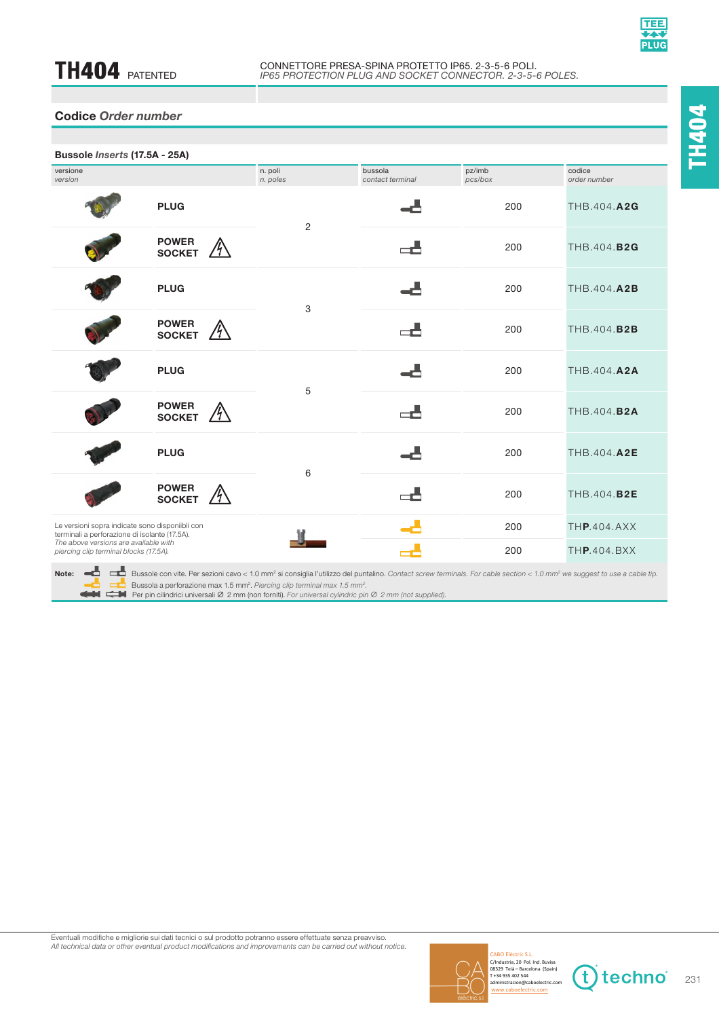

| Bussole Inserts (17.5A - 25A)                                                                                                                                                       |                                     |                     |                             |                   |                        |
|-------------------------------------------------------------------------------------------------------------------------------------------------------------------------------------|-------------------------------------|---------------------|-----------------------------|-------------------|------------------------|
| versione<br>version                                                                                                                                                                 |                                     | n. poli<br>n. poles | bussola<br>contact terminal | pz/imb<br>pcs/box | codice<br>order number |
|                                                                                                                                                                                     | <b>PLUG</b>                         | 2                   |                             | 200               | THB.404.A2G            |
|                                                                                                                                                                                     | <b>POWER</b><br><b>SOCKET</b>       |                     | ᇰ                           | 200               | THB.404.B2G            |
|                                                                                                                                                                                     | <b>PLUG</b>                         | 3                   |                             | 200               | THB.404.A2B            |
|                                                                                                                                                                                     | <b>POWER</b><br><b>SOCKET</b>       |                     | گہ                          | 200               | THB.404.B2B            |
|                                                                                                                                                                                     | <b>PLUG</b>                         | 5                   |                             | 200               | THB.404.A2A            |
|                                                                                                                                                                                     | <b>POWER</b><br>/4<br><b>SOCKET</b> |                     | -5                          | 200               | THB.404.B2A            |
|                                                                                                                                                                                     | <b>PLUG</b>                         | 6                   |                             | 200               | THB.404.A2E            |
|                                                                                                                                                                                     | <b>POWER</b><br><b>SOCKET</b>       |                     | ▄▟▖                         | 200               | THB.404.B2E            |
| Le versioni sopra indicate sono disponiibli con<br>terminali a perforazione di isolante (17.5A).<br>The above versions are available with<br>piercing clip terminal blocks (17.5A). |                                     |                     |                             | 200               | THP.404.AXX            |
|                                                                                                                                                                                     |                                     |                     | $\Rightarrow$               | 200               | THP.404.BXX            |
|                                                                                                                                                                                     |                                     |                     |                             |                   |                        |



**Note: □ □** Bussole con vite. Per sezioni cavo < 1.0 mm<sup>2</sup> si consiglia l'utilizzo del puntalino. *Contact screw terminals. For cable section < 1.0 mm<sup>2</sup> we suggest to use a cable tip.* 

CO Bussola a perforazione max 1.5 mm<sup>2</sup>. Piercing clip terminal max 1.5 mm<sup>2</sup>.<br>CH CH Per pin cilindrici universali Ø 2 mm (non forniti). For universal cylindric pin Ø 2 mm (not supplied).

**TH**404

Eventuali modifiche e migliorie sui dati tecnici o sul prodotto potranno essere effettuate senza preavviso. Luccian modifications of mighters can dark toomer of an product political product product and improvements can be carried out without notice.



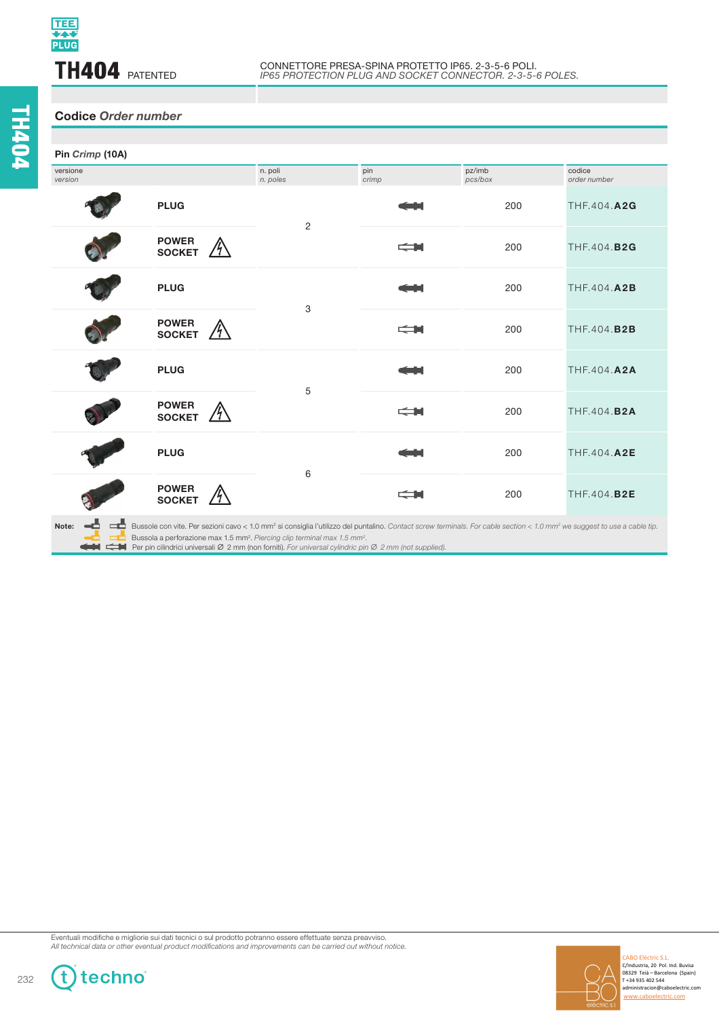## **TH404 PATENTED**

## **Codice** *Order number*

| Pin Crimp (10A)     |                               |                     |                       |                   |                        |
|---------------------|-------------------------------|---------------------|-----------------------|-------------------|------------------------|
| versione<br>version |                               | n. poli<br>n. poles | pin<br>crimp          | pz/imb<br>pcs/box | codice<br>order number |
|                     | <b>PLUG</b>                   | $\overline{c}$      |                       | 200               | THF.404.A2G            |
|                     | <b>POWER</b><br><b>SOCKET</b> |                     | $\Longleftrightarrow$ | 200               | THF.404.B2G            |
|                     | <b>PLUG</b>                   | 3                   | فالمنا                | 200               | THF.404.A2B            |
|                     | <b>POWER</b><br><b>SOCKET</b> |                     | $\Longleftrightarrow$ | 200               | THF.404.B2B            |
|                     | <b>PLUG</b>                   | 5                   |                       | 200               | THF.404.A2A            |
|                     | <b>POWER</b><br><b>SOCKET</b> |                     | $\Longleftrightarrow$ | 200               | THF.404.B2A            |
|                     | <b>PLUG</b>                   | 6                   |                       | 200               | THF.404.A2E            |
|                     | <b>POWER</b><br><b>SOCKET</b> |                     | $\leftrightharpoons$  | 200               | THF.404.B2E            |
|                     |                               |                     |                       |                   |                        |



Eventuali modifiche e migliorie sui dati tecnici o sul prodotto potranno essere effettuate senza preavviso. Luccian modifications of mighters can dark toomer of an product political product product and improvements can be carried out without notice.



 $\mathbf{f}$ 

techno®